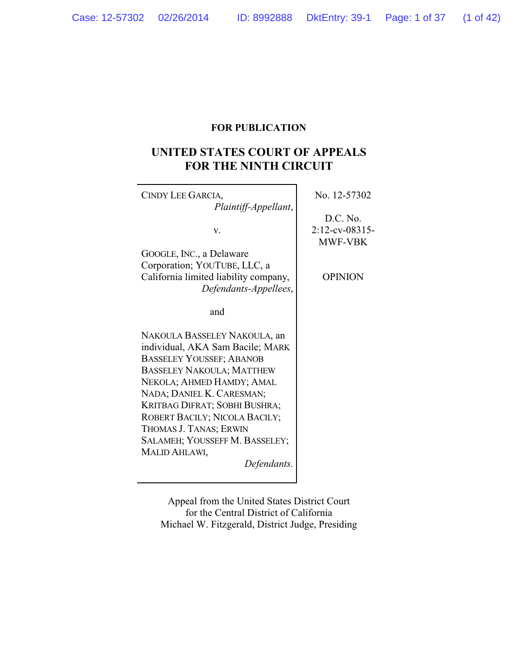## **FOR PUBLICATION**

# **UNITED STATES COURT OF APPEALS FOR THE NINTH CIRCUIT**

| CINDY LEE GARCIA,<br>Plaintiff-Appellant,                                                                                                                                                                                                                                                                                                                       | No. 12-57302                                                      |
|-----------------------------------------------------------------------------------------------------------------------------------------------------------------------------------------------------------------------------------------------------------------------------------------------------------------------------------------------------------------|-------------------------------------------------------------------|
| V.<br>GOOGLE, INC., a Delaware<br>Corporation; YOUTUBE, LLC, a<br>California limited liability company,<br>Defendants-Appellees,                                                                                                                                                                                                                                | D.C. No.<br>$2:12$ -cv-08315-<br><b>MWF-VBK</b><br><b>OPINION</b> |
| and                                                                                                                                                                                                                                                                                                                                                             |                                                                   |
| NAKOULA BASSELEY NAKOULA, an<br>individual, AKA Sam Bacile; MARK<br><b>BASSELEY YOUSSEF; ABANOB</b><br><b>BASSELEY NAKOULA; MATTHEW</b><br>NEKOLA; AHMED HAMDY; AMAL<br>NADA; DANIEL K. CARESMAN;<br>KRITBAG DIFRAT; SOBHI BUSHRA;<br>ROBERT BACILY; NICOLA BACILY;<br>THOMAS J. TANAS; ERWIN<br>SALAMEH; YOUSSEFF M. BASSELEY;<br>MALID AHLAWI,<br>Defendants. |                                                                   |

Appeal from the United States District Court for the Central District of California Michael W. Fitzgerald, District Judge, Presiding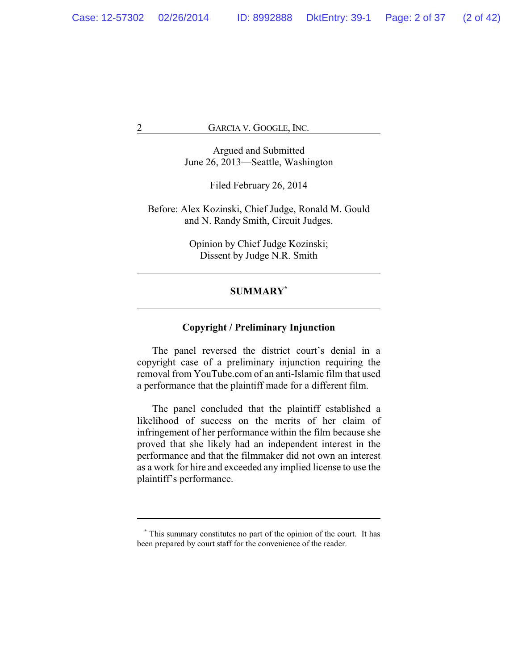Argued and Submitted June 26, 2013—Seattle, Washington

Filed February 26, 2014

Before: Alex Kozinski, Chief Judge, Ronald M. Gould and N. Randy Smith, Circuit Judges.

> Opinion by Chief Judge Kozinski; Dissent by Judge N.R. Smith

## **SUMMARY\***

## **Copyright / Preliminary Injunction**

The panel reversed the district court's denial in a copyright case of a preliminary injunction requiring the removal from YouTube.com of an anti-Islamic film that used a performance that the plaintiff made for a different film.

The panel concluded that the plaintiff established a likelihood of success on the merits of her claim of infringement of her performance within the film because she proved that she likely had an independent interest in the performance and that the filmmaker did not own an interest as a work for hire and exceeded any implied license to use the plaintiff's performance.

**<sup>\*</sup>** This summary constitutes no part of the opinion of the court. It has been prepared by court staff for the convenience of the reader.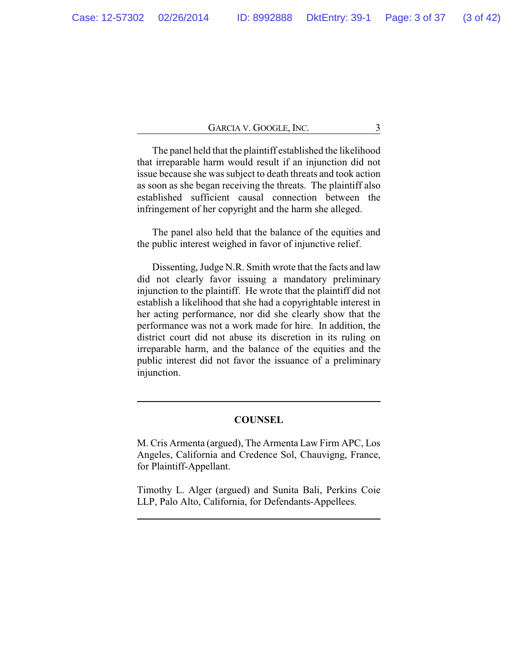The panel held that the plaintiff established the likelihood that irreparable harm would result if an injunction did not issue because she was subject to death threats and took action as soon as she began receiving the threats. The plaintiff also established sufficient causal connection between the infringement of her copyright and the harm she alleged.

The panel also held that the balance of the equities and the public interest weighed in favor of injunctive relief.

Dissenting, Judge N.R. Smith wrote that the facts and law did not clearly favor issuing a mandatory preliminary injunction to the plaintiff. He wrote that the plaintiff did not establish a likelihood that she had a copyrightable interest in her acting performance, nor did she clearly show that the performance was not a work made for hire. In addition, the district court did not abuse its discretion in its ruling on irreparable harm, and the balance of the equities and the public interest did not favor the issuance of a preliminary injunction.

#### **COUNSEL**

M. Cris Armenta (argued), The Armenta Law Firm APC, Los Angeles, California and Credence Sol, Chauvigng, France, for Plaintiff-Appellant.

Timothy L. Alger (argued) and Sunita Bali, Perkins Coie LLP, Palo Alto, California, for Defendants-Appellees.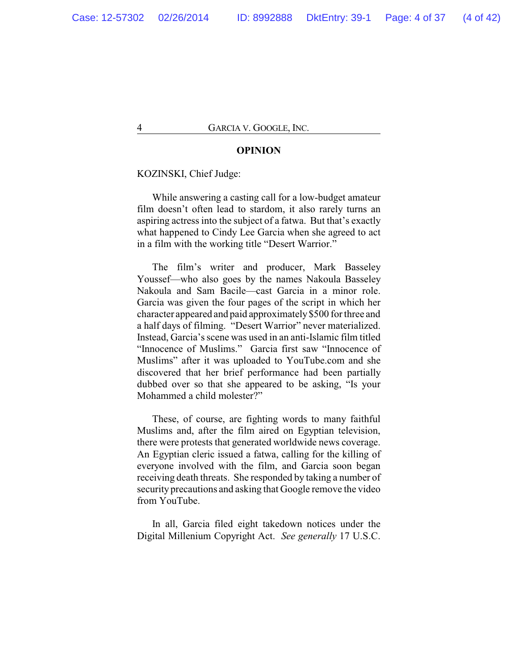#### **OPINION**

#### KOZINSKI, Chief Judge:

While answering a casting call for a low-budget amateur film doesn't often lead to stardom, it also rarely turns an aspiring actress into the subject of a fatwa. But that's exactly what happened to Cindy Lee Garcia when she agreed to act in a film with the working title "Desert Warrior."

The film's writer and producer, Mark Basseley Youssef—who also goes by the names Nakoula Basseley Nakoula and Sam Bacile—cast Garcia in a minor role. Garcia was given the four pages of the script in which her character appeared and paid approximately \$500 for three and a half days of filming. "Desert Warrior" never materialized. Instead, Garcia's scene was used in an anti-Islamic film titled "Innocence of Muslims." Garcia first saw "Innocence of Muslims" after it was uploaded to YouTube.com and she discovered that her brief performance had been partially dubbed over so that she appeared to be asking, "Is your Mohammed a child molester?"

These, of course, are fighting words to many faithful Muslims and, after the film aired on Egyptian television, there were protests that generated worldwide news coverage. An Egyptian cleric issued a fatwa, calling for the killing of everyone involved with the film, and Garcia soon began receiving death threats. She responded by taking a number of security precautions and asking that Google remove the video from YouTube.

In all, Garcia filed eight takedown notices under the Digital Millenium Copyright Act. *See generally* 17 U.S.C.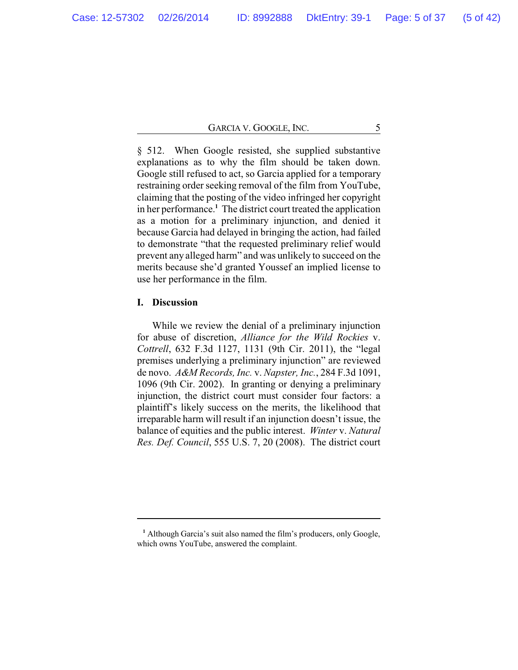§ 512. When Google resisted, she supplied substantive explanations as to why the film should be taken down. Google still refused to act, so Garcia applied for a temporary restraining order seeking removal of the film from YouTube, claiming that the posting of the video infringed her copyright in her performance.**<sup>1</sup>** The district court treated the application as a motion for a preliminary injunction, and denied it because Garcia had delayed in bringing the action, had failed to demonstrate "that the requested preliminary relief would prevent any alleged harm" and was unlikely to succeed on the merits because she'd granted Youssef an implied license to use her performance in the film.

## **I. Discussion**

While we review the denial of a preliminary injunction for abuse of discretion, *Alliance for the Wild Rockies* v. *Cottrell*, 632 F.3d 1127, 1131 (9th Cir. 2011), the "legal premises underlying a preliminary injunction" are reviewed de novo. *A&M Records, Inc.* v. *Napster, Inc.*, 284 F.3d 1091, 1096 (9th Cir. 2002). In granting or denying a preliminary injunction, the district court must consider four factors: a plaintiff's likely success on the merits, the likelihood that irreparable harm will result if an injunction doesn't issue, the balance of equities and the public interest. *Winter* v. *Natural Res. Def. Council*, 555 U.S. 7, 20 (2008). The district court

**<sup>1</sup>** Although Garcia's suit also named the film's producers, only Google, which owns YouTube, answered the complaint.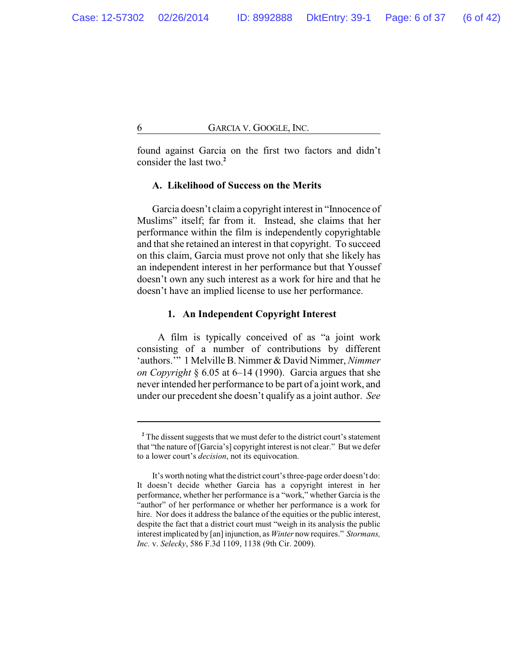found against Garcia on the first two factors and didn't consider the last two.**<sup>2</sup>**

### **A. Likelihood of Success on the Merits**

Garcia doesn't claim a copyright interest in "Innocence of Muslims" itself; far from it. Instead, she claims that her performance within the film is independently copyrightable and that she retained an interest in that copyright. To succeed on this claim, Garcia must prove not only that she likely has an independent interest in her performance but that Youssef doesn't own any such interest as a work for hire and that he doesn't have an implied license to use her performance.

#### **1. An Independent Copyright Interest**

A film is typically conceived of as "a joint work consisting of a number of contributions by different 'authors.'" 1 Melville B. Nimmer & David Nimmer, *Nimmer on Copyright* § 6.05 at 6–14 (1990). Garcia argues that she never intended her performance to be part of a joint work, and under our precedent she doesn't qualify as a joint author. *See*

<sup>&</sup>lt;sup>2</sup> The dissent suggests that we must defer to the district court's statement that "the nature of [Garcia's] copyright interest is not clear." But we defer to a lower court's *decision*, not its equivocation.

It's worth noting what the district court's three-page order doesn't do: It doesn't decide whether Garcia has a copyright interest in her performance, whether her performance is a "work," whether Garcia is the "author" of her performance or whether her performance is a work for hire. Nor does it address the balance of the equities or the public interest, despite the fact that a district court must "weigh in its analysis the public interest implicated by [an] injunction, as *Winter* nowrequires." *Stormans, Inc.* v. *Selecky*, 586 F.3d 1109, 1138 (9th Cir. 2009).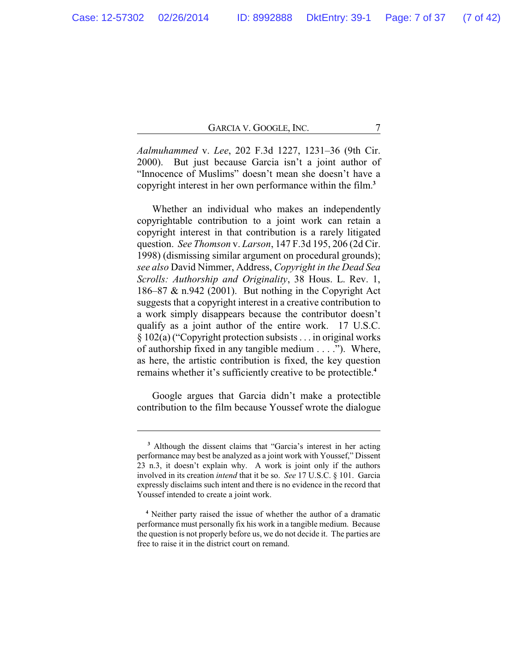*Aalmuhammed* v. *Lee*, 202 F.3d 1227, 1231–36 (9th Cir. 2000). But just because Garcia isn't a joint author of "Innocence of Muslims" doesn't mean she doesn't have a copyright interest in her own performance within the film.**<sup>3</sup>**

Whether an individual who makes an independently copyrightable contribution to a joint work can retain a copyright interest in that contribution is a rarely litigated question. *See Thomson* v. *Larson*, 147 F.3d 195, 206 (2d Cir. 1998) (dismissing similar argument on procedural grounds); *see also* David Nimmer, Address, *Copyright in the Dead Sea Scrolls: Authorship and Originality*, 38 Hous. L. Rev. 1, 186–87 & n.942 (2001). But nothing in the Copyright Act suggests that a copyright interest in a creative contribution to a work simply disappears because the contributor doesn't qualify as a joint author of the entire work. 17 U.S.C. § 102(a) ("Copyright protection subsists . . . in original works of authorship fixed in any tangible medium . . . ."). Where, as here, the artistic contribution is fixed, the key question remains whether it's sufficiently creative to be protectible.**<sup>4</sup>**

Google argues that Garcia didn't make a protectible contribution to the film because Youssef wrote the dialogue

**<sup>3</sup>** Although the dissent claims that "Garcia's interest in her acting performance may best be analyzed as a joint work with Youssef," Dissent 23 n.3, it doesn't explain why. A work is joint only if the authors involved in its creation *intend* that it be so. *See* 17 U.S.C. § 101. Garcia expressly disclaims such intent and there is no evidence in the record that Youssef intended to create a joint work.

**<sup>4</sup>** Neither party raised the issue of whether the author of a dramatic performance must personally fix his work in a tangible medium. Because the question is not properly before us, we do not decide it. The parties are free to raise it in the district court on remand.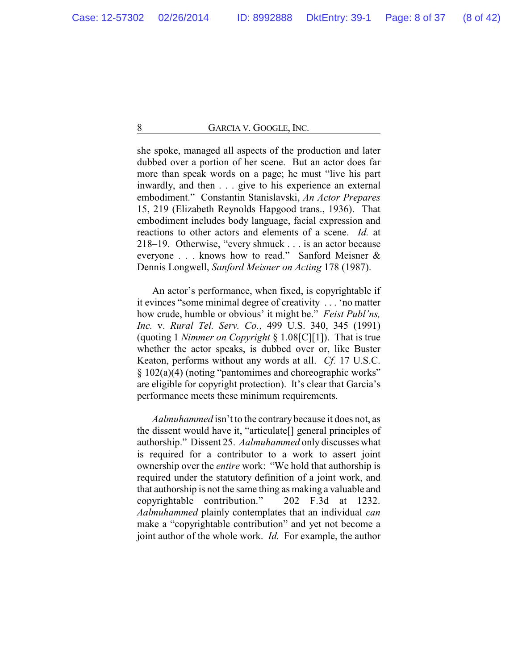she spoke, managed all aspects of the production and later dubbed over a portion of her scene. But an actor does far more than speak words on a page; he must "live his part inwardly, and then . . . give to his experience an external embodiment." Constantin Stanislavski, *An Actor Prepares* 15, 219 (Elizabeth Reynolds Hapgood trans., 1936). That embodiment includes body language, facial expression and reactions to other actors and elements of a scene. *Id.* at 218–19. Otherwise, "every shmuck . . . is an actor because everyone . . . knows how to read." Sanford Meisner & Dennis Longwell, *Sanford Meisner on Acting* 178 (1987).

An actor's performance, when fixed, is copyrightable if it evinces "some minimal degree of creativity . . . 'no matter how crude, humble or obvious' it might be." *Feist Publ'ns, Inc.* v. *Rural Tel. Serv. Co.*, 499 U.S. 340, 345 (1991) (quoting 1 *Nimmer on Copyright* § 1.08[C][1]). That is true whether the actor speaks, is dubbed over or, like Buster Keaton, performs without any words at all. *Cf.* 17 U.S.C. § 102(a)(4) (noting "pantomimes and choreographic works" are eligible for copyright protection). It's clear that Garcia's performance meets these minimum requirements.

*Aalmuhammed* isn't to the contrary because it does not, as the dissent would have it, "articulate[] general principles of authorship." Dissent 25. *Aalmuhammed* only discusses what is required for a contributor to a work to assert joint ownership over the *entire* work: "We hold that authorship is required under the statutory definition of a joint work, and that authorship is not the same thing as making a valuable and copyrightable contribution." 202 F.3d at 1232. *Aalmuhammed* plainly contemplates that an individual *can* make a "copyrightable contribution" and yet not become a joint author of the whole work. *Id.* For example, the author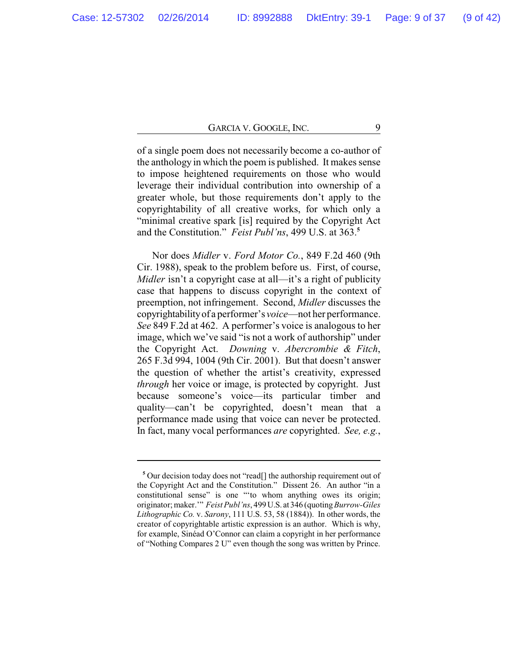of a single poem does not necessarily become a co-author of the anthology in which the poem is published. It makes sense to impose heightened requirements on those who would leverage their individual contribution into ownership of a greater whole, but those requirements don't apply to the copyrightability of all creative works, for which only a "minimal creative spark [is] required by the Copyright Act and the Constitution." *Feist Publ'ns*, 499 U.S. at 363.**<sup>5</sup>**

Nor does *Midler* v. *Ford Motor Co.*, 849 F.2d 460 (9th Cir. 1988), speak to the problem before us. First, of course, *Midler* isn't a copyright case at all—it's a right of publicity case that happens to discuss copyright in the context of preemption, not infringement. Second, *Midler* discusses the copyrightabilityof a performer's *voice*—not her performance. *See* 849 F.2d at 462. A performer's voice is analogous to her image, which we've said "is not a work of authorship" under the Copyright Act. *Downing* v. *Abercrombie & Fitch*, 265 F.3d 994, 1004 (9th Cir. 2001). But that doesn't answer the question of whether the artist's creativity, expressed *through* her voice or image, is protected by copyright. Just because someone's voice—its particular timber and quality—can't be copyrighted, doesn't mean that a performance made using that voice can never be protected. In fact, many vocal performances *are* copyrighted. *See, e.g.*,

**<sup>5</sup>** Our decision today does not "read[] the authorship requirement out of the Copyright Act and the Constitution." Dissent 26. An author "in a constitutional sense" is one "'to whom anything owes its origin; originator; maker.'" *Feist Publ'ns*, 499U.S. at 346 (quoting*Burrow-Giles Lithographic Co.* v. *Sarony*, 111 U.S. 53, 58 (1884)). In other words, the creator of copyrightable artistic expression is an author. Which is why, for example, Sinéad O'Connor can claim a copyright in her performance of "Nothing Compares 2 U" even though the song was written by Prince.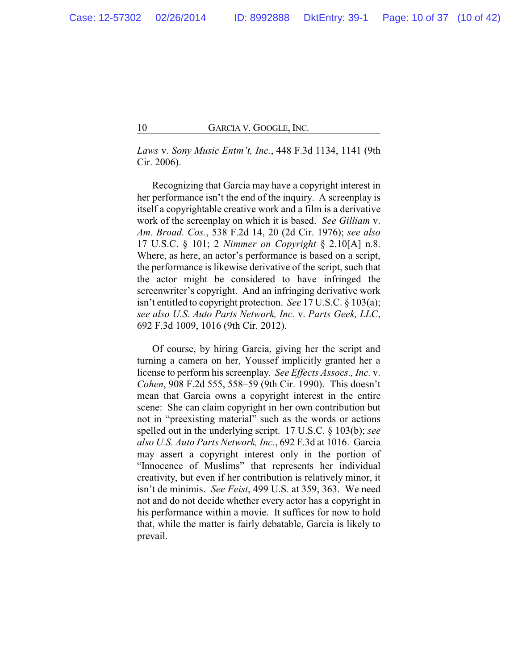*Laws* v. *Sony Music Entm't, Inc.*, 448 F.3d 1134, 1141 (9th Cir. 2006).

Recognizing that Garcia may have a copyright interest in her performance isn't the end of the inquiry. A screenplay is itself a copyrightable creative work and a film is a derivative work of the screenplay on which it is based. *See Gilliam* v. *Am. Broad. Cos.*, 538 F.2d 14, 20 (2d Cir. 1976); *see also* 17 U.S.C. § 101; 2 *Nimmer on Copyright* § 2.10[A] n.8. Where, as here, an actor's performance is based on a script, the performance is likewise derivative of the script, such that the actor might be considered to have infringed the screenwriter's copyright. And an infringing derivative work isn't entitled to copyright protection. *See* 17 U.S.C. § 103(a); *see also U.S. Auto Parts Network, Inc.* v. *Parts Geek, LLC*, 692 F.3d 1009, 1016 (9th Cir. 2012).

Of course, by hiring Garcia, giving her the script and turning a camera on her, Youssef implicitly granted her a license to perform his screenplay. *See Effects Assocs., Inc.* v. *Cohen*, 908 F.2d 555, 558–59 (9th Cir. 1990). This doesn't mean that Garcia owns a copyright interest in the entire scene: She can claim copyright in her own contribution but not in "preexisting material" such as the words or actions spelled out in the underlying script. 17 U.S.C. § 103(b); *see also U.S. Auto Parts Network, Inc.*, 692 F.3d at 1016. Garcia may assert a copyright interest only in the portion of "Innocence of Muslims" that represents her individual creativity, but even if her contribution is relatively minor, it isn't de minimis. *See Feist*, 499 U.S. at 359, 363. We need not and do not decide whether every actor has a copyright in his performance within a movie. It suffices for now to hold that, while the matter is fairly debatable, Garcia is likely to prevail.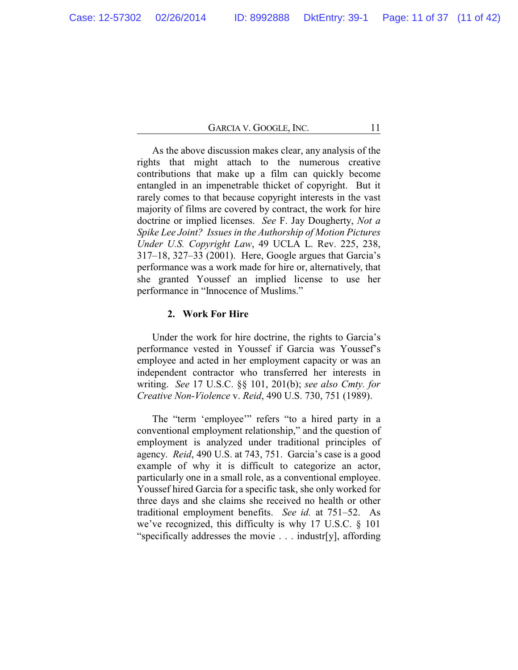As the above discussion makes clear, any analysis of the rights that might attach to the numerous creative contributions that make up a film can quickly become entangled in an impenetrable thicket of copyright. But it rarely comes to that because copyright interests in the vast majority of films are covered by contract, the work for hire doctrine or implied licenses. *See* F. Jay Dougherty, *Not a Spike Lee Joint? Issues in the Authorship of Motion Pictures Under U.S. Copyright Law*, 49 UCLA L. Rev. 225, 238, 317–18, 327–33 (2001). Here, Google argues that Garcia's performance was a work made for hire or, alternatively, that she granted Youssef an implied license to use her performance in "Innocence of Muslims."

## **2. Work For Hire**

Under the work for hire doctrine, the rights to Garcia's performance vested in Youssef if Garcia was Youssef's employee and acted in her employment capacity or was an independent contractor who transferred her interests in writing. *See* 17 U.S.C. §§ 101, 201(b); *see also Cmty. for Creative Non-Violence* v. *Reid*, 490 U.S. 730, 751 (1989).

The "term 'employee'" refers "to a hired party in a conventional employment relationship," and the question of employment is analyzed under traditional principles of agency. *Reid*, 490 U.S. at 743, 751. Garcia's case is a good example of why it is difficult to categorize an actor, particularly one in a small role, as a conventional employee. Youssef hired Garcia for a specific task, she only worked for three days and she claims she received no health or other traditional employment benefits. *See id.* at 751–52. As we've recognized, this difficulty is why 17 U.S.C. § 101 "specifically addresses the movie . . . industr[y], affording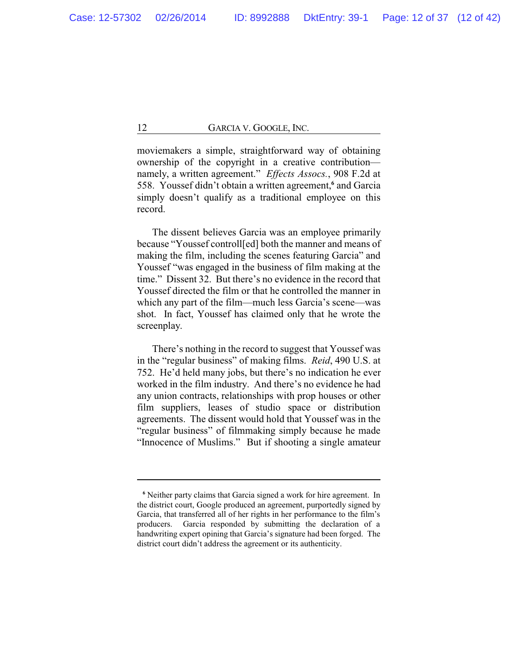moviemakers a simple, straightforward way of obtaining ownership of the copyright in a creative contribution namely, a written agreement." *Effects Assocs.*, 908 F.2d at 558. Youssef didn't obtain a written agreement,**<sup>6</sup>** and Garcia simply doesn't qualify as a traditional employee on this record.

The dissent believes Garcia was an employee primarily because "Youssef controll[ed] both the manner and means of making the film, including the scenes featuring Garcia" and Youssef "was engaged in the business of film making at the time." Dissent 32. But there's no evidence in the record that Youssef directed the film or that he controlled the manner in which any part of the film—much less Garcia's scene—was shot. In fact, Youssef has claimed only that he wrote the screenplay.

There's nothing in the record to suggest that Youssef was in the "regular business" of making films. *Reid*, 490 U.S. at 752. He'd held many jobs, but there's no indication he ever worked in the film industry. And there's no evidence he had any union contracts, relationships with prop houses or other film suppliers, leases of studio space or distribution agreements. The dissent would hold that Youssef was in the "regular business" of filmmaking simply because he made "Innocence of Muslims." But if shooting a single amateur

**<sup>6</sup>** Neither party claims that Garcia signed a work for hire agreement. In the district court, Google produced an agreement, purportedly signed by Garcia, that transferred all of her rights in her performance to the film's producers. Garcia responded by submitting the declaration of a handwriting expert opining that Garcia's signature had been forged. The district court didn't address the agreement or its authenticity.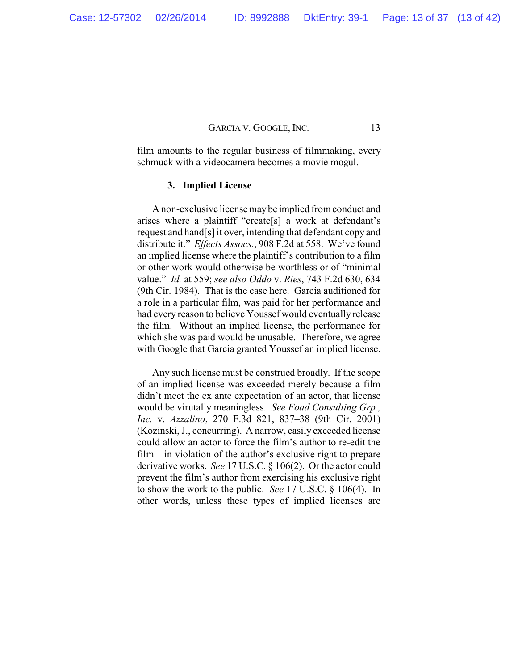film amounts to the regular business of filmmaking, every schmuck with a videocamera becomes a movie mogul.

## **3. Implied License**

A non-exclusive license maybe implied from conduct and arises where a plaintiff "create[s] a work at defendant's request and hand[s] it over, intending that defendant copy and distribute it." *Effects Assocs.*, 908 F.2d at 558. We've found an implied license where the plaintiff's contribution to a film or other work would otherwise be worthless or of "minimal value." *Id.* at 559; *see also Oddo* v. *Ries*, 743 F.2d 630, 634 (9th Cir. 1984). That is the case here. Garcia auditioned for a role in a particular film, was paid for her performance and had every reason to believe Youssef would eventually release the film. Without an implied license, the performance for which she was paid would be unusable. Therefore, we agree with Google that Garcia granted Youssef an implied license.

Any such license must be construed broadly. If the scope of an implied license was exceeded merely because a film didn't meet the ex ante expectation of an actor, that license would be virutally meaningless. *See Foad Consulting Grp., Inc.* v. *Azzalino*, 270 F.3d 821, 837–38 (9th Cir. 2001) (Kozinski, J., concurring). A narrow, easily exceeded license could allow an actor to force the film's author to re-edit the film—in violation of the author's exclusive right to prepare derivative works. *See* 17 U.S.C. § 106(2). Or the actor could prevent the film's author from exercising his exclusive right to show the work to the public. *See* 17 U.S.C. § 106(4). In other words, unless these types of implied licenses are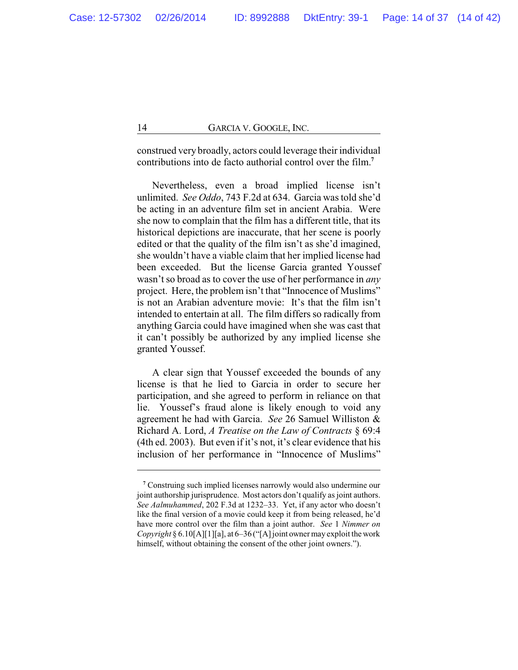construed very broadly, actors could leverage their individual contributions into de facto authorial control over the film.**<sup>7</sup>**

Nevertheless, even a broad implied license isn't unlimited. *See Oddo*, 743 F.2d at 634. Garcia was told she'd be acting in an adventure film set in ancient Arabia. Were she now to complain that the film has a different title, that its historical depictions are inaccurate, that her scene is poorly edited or that the quality of the film isn't as she'd imagined, she wouldn't have a viable claim that her implied license had been exceeded. But the license Garcia granted Youssef wasn't so broad as to cover the use of her performance in *any* project. Here, the problem isn't that "Innocence of Muslims" is not an Arabian adventure movie: It's that the film isn't intended to entertain at all. The film differs so radically from anything Garcia could have imagined when she was cast that it can't possibly be authorized by any implied license she granted Youssef.

A clear sign that Youssef exceeded the bounds of any license is that he lied to Garcia in order to secure her participation, and she agreed to perform in reliance on that lie. Youssef's fraud alone is likely enough to void any agreement he had with Garcia. *See* 26 Samuel Williston & Richard A. Lord, *A Treatise on the Law of Contracts* § 69:4 (4th ed. 2003). But even if it's not, it's clear evidence that his inclusion of her performance in "Innocence of Muslims"

**<sup>7</sup>** Construing such implied licenses narrowly would also undermine our joint authorship jurisprudence. Most actors don't qualify as joint authors. *See Aalmuhammed*, 202 F.3d at 1232–33. Yet, if any actor who doesn't like the final version of a movie could keep it from being released, he'd have more control over the film than a joint author. *See* 1 *Nimmer on Copyright* § 6.10[A][1][a], at 6–36 ("[A] joint owner may exploit the work himself, without obtaining the consent of the other joint owners.").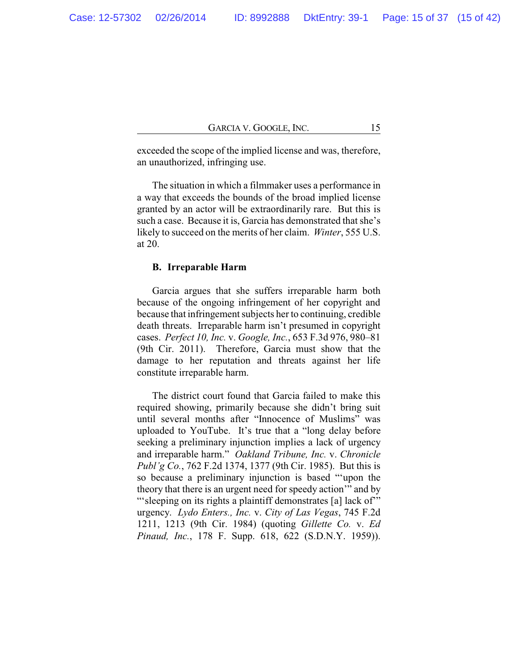exceeded the scope of the implied license and was, therefore, an unauthorized, infringing use.

The situation in which a filmmaker uses a performance in a way that exceeds the bounds of the broad implied license granted by an actor will be extraordinarily rare. But this is such a case. Because it is, Garcia has demonstrated that she's likely to succeed on the merits of her claim. *Winter*, 555 U.S. at 20.

#### **B. Irreparable Harm**

Garcia argues that she suffers irreparable harm both because of the ongoing infringement of her copyright and because that infringement subjects her to continuing, credible death threats. Irreparable harm isn't presumed in copyright cases. *Perfect 10, Inc.* v. *Google, Inc.*, 653 F.3d 976, 980–81 (9th Cir. 2011). Therefore, Garcia must show that the damage to her reputation and threats against her life constitute irreparable harm.

The district court found that Garcia failed to make this required showing, primarily because she didn't bring suit until several months after "Innocence of Muslims" was uploaded to YouTube. It's true that a "long delay before seeking a preliminary injunction implies a lack of urgency and irreparable harm." *Oakland Tribune, Inc.* v. *Chronicle Publ'g Co.*, 762 F.2d 1374, 1377 (9th Cir. 1985). But this is so because a preliminary injunction is based "'upon the theory that there is an urgent need for speedy action'" and by "'sleeping on its rights a plaintiff demonstrates [a] lack of" urgency. *Lydo Enters., Inc.* v. *City of Las Vegas*, 745 F.2d 1211, 1213 (9th Cir. 1984) (quoting *Gillette Co.* v. *Ed Pinaud, Inc.*, 178 F. Supp. 618, 622 (S.D.N.Y. 1959)).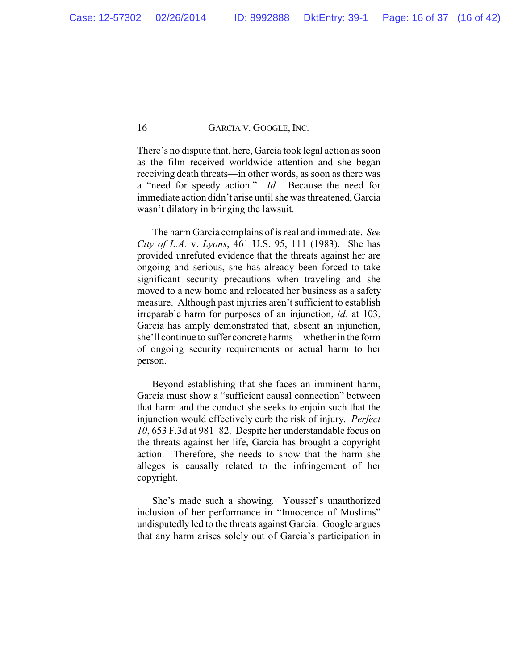There's no dispute that, here, Garcia took legal action as soon as the film received worldwide attention and she began receiving death threats—in other words, as soon as there was a "need for speedy action." *Id.* Because the need for immediate action didn't arise until she was threatened, Garcia wasn't dilatory in bringing the lawsuit.

The harm Garcia complains of is real and immediate. *See City of L.A.* v. *Lyons*, 461 U.S. 95, 111 (1983). She has provided unrefuted evidence that the threats against her are ongoing and serious, she has already been forced to take significant security precautions when traveling and she moved to a new home and relocated her business as a safety measure. Although past injuries aren't sufficient to establish irreparable harm for purposes of an injunction, *id.* at 103, Garcia has amply demonstrated that, absent an injunction, she'll continue to suffer concrete harms—whether in the form of ongoing security requirements or actual harm to her person.

Beyond establishing that she faces an imminent harm, Garcia must show a "sufficient causal connection" between that harm and the conduct she seeks to enjoin such that the injunction would effectively curb the risk of injury. *Perfect 10*, 653 F.3d at 981–82. Despite her understandable focus on the threats against her life, Garcia has brought a copyright action. Therefore, she needs to show that the harm she alleges is causally related to the infringement of her copyright.

She's made such a showing. Youssef's unauthorized inclusion of her performance in "Innocence of Muslims" undisputedly led to the threats against Garcia. Google argues that any harm arises solely out of Garcia's participation in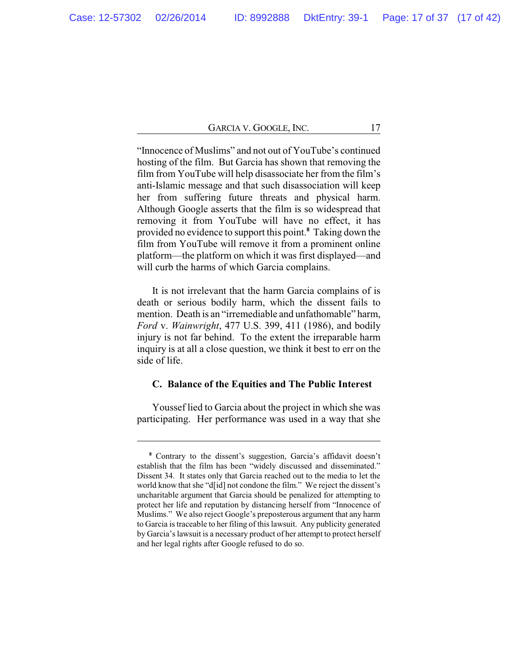"Innocence of Muslims" and not out of YouTube's continued hosting of the film. But Garcia has shown that removing the film from YouTube will help disassociate her from the film's anti-Islamic message and that such disassociation will keep her from suffering future threats and physical harm. Although Google asserts that the film is so widespread that removing it from YouTube will have no effect, it has provided no evidence to support this point.**<sup>8</sup>** Taking down the film from YouTube will remove it from a prominent online platform—the platform on which it was first displayed—and will curb the harms of which Garcia complains.

It is not irrelevant that the harm Garcia complains of is death or serious bodily harm, which the dissent fails to mention. Death is an "irremediable and unfathomable" harm, *Ford* v. *Wainwright*, 477 U.S. 399, 411 (1986), and bodily injury is not far behind. To the extent the irreparable harm inquiry is at all a close question, we think it best to err on the side of life.

#### **C. Balance of the Equities and The Public Interest**

Youssef lied to Garcia about the project in which she was participating. Her performance was used in a way that she

**<sup>8</sup>** Contrary to the dissent's suggestion, Garcia's affidavit doesn't establish that the film has been "widely discussed and disseminated." Dissent 34. It states only that Garcia reached out to the media to let the world know that she "d[id] not condone the film." We reject the dissent's uncharitable argument that Garcia should be penalized for attempting to protect her life and reputation by distancing herself from "Innocence of Muslims." We also reject Google's preposterous argument that any harm to Garcia is traceable to her filing of this lawsuit. Any publicity generated by Garcia's lawsuit is a necessary product of her attempt to protect herself and her legal rights after Google refused to do so.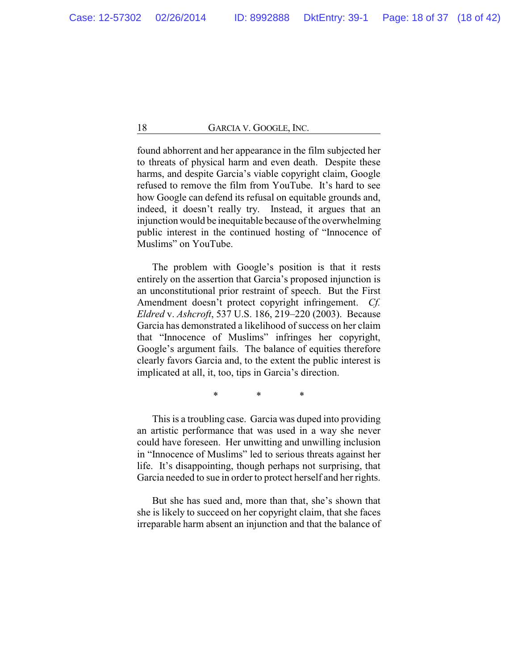found abhorrent and her appearance in the film subjected her to threats of physical harm and even death. Despite these harms, and despite Garcia's viable copyright claim, Google refused to remove the film from YouTube. It's hard to see how Google can defend its refusal on equitable grounds and, indeed, it doesn't really try. Instead, it argues that an injunction would be inequitable because of the overwhelming public interest in the continued hosting of "Innocence of Muslims" on YouTube.

The problem with Google's position is that it rests entirely on the assertion that Garcia's proposed injunction is an unconstitutional prior restraint of speech. But the First Amendment doesn't protect copyright infringement. *Cf. Eldred* v. *Ashcroft*, 537 U.S. 186, 219–220 (2003). Because Garcia has demonstrated a likelihood of success on her claim that "Innocence of Muslims" infringes her copyright, Google's argument fails. The balance of equities therefore clearly favors Garcia and, to the extent the public interest is implicated at all, it, too, tips in Garcia's direction.

\* \* \*

This is a troubling case. Garcia was duped into providing an artistic performance that was used in a way she never could have foreseen. Her unwitting and unwilling inclusion in "Innocence of Muslims" led to serious threats against her life. It's disappointing, though perhaps not surprising, that Garcia needed to sue in order to protect herself and her rights.

But she has sued and, more than that, she's shown that she is likely to succeed on her copyright claim, that she faces irreparable harm absent an injunction and that the balance of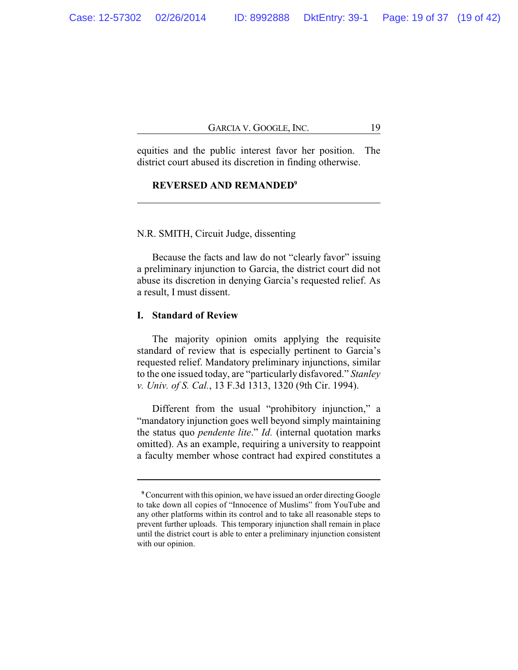equities and the public interest favor her position. The district court abused its discretion in finding otherwise.

### **REVERSED AND REMANDED<sup>9</sup>**

#### N.R. SMITH, Circuit Judge, dissenting

Because the facts and law do not "clearly favor" issuing a preliminary injunction to Garcia, the district court did not abuse its discretion in denying Garcia's requested relief. As a result, I must dissent.

### **I. Standard of Review**

The majority opinion omits applying the requisite standard of review that is especially pertinent to Garcia's requested relief. Mandatory preliminary injunctions, similar to the one issued today, are "particularly disfavored." *Stanley v. Univ. of S. Cal.*, 13 F.3d 1313, 1320 (9th Cir. 1994).

Different from the usual "prohibitory injunction," a "mandatory injunction goes well beyond simply maintaining the status quo *pendente lite*." *Id.* (internal quotation marks omitted). As an example, requiring a university to reappoint a faculty member whose contract had expired constitutes a

**<sup>9</sup>** Concurrent with this opinion, we have issued an order directing Google to take down all copies of "Innocence of Muslims" from YouTube and any other platforms within its control and to take all reasonable steps to prevent further uploads. This temporary injunction shall remain in place until the district court is able to enter a preliminary injunction consistent with our opinion.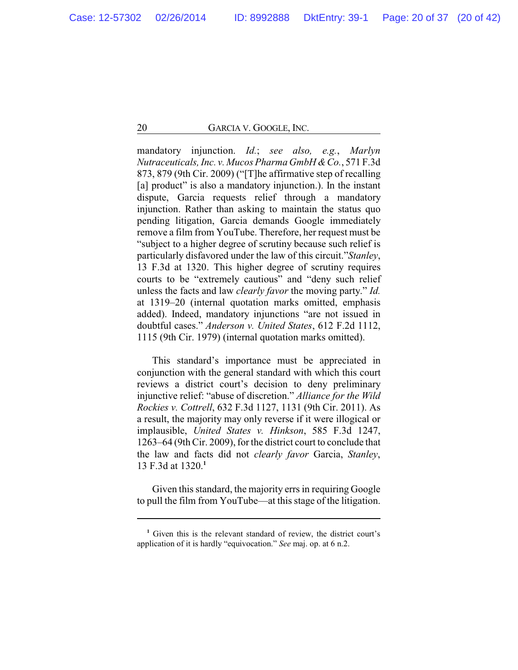mandatory injunction. *Id.*; *see also, e.g.*, *Marlyn Nutraceuticals, Inc. v. Mucos Pharma GmbH &Co.*, 571 F.3d 873, 879 (9th Cir. 2009) ("[T]he affirmative step of recalling [a] product" is also a mandatory injunction.). In the instant dispute, Garcia requests relief through a mandatory injunction. Rather than asking to maintain the status quo pending litigation, Garcia demands Google immediately remove a film from YouTube. Therefore, her request must be "subject to a higher degree of scrutiny because such relief is particularly disfavored under the law of this circuit."*Stanley*, 13 F.3d at 1320. This higher degree of scrutiny requires courts to be "extremely cautious" and "deny such relief unless the facts and law *clearly favor* the moving party." *Id.* at 1319–20 (internal quotation marks omitted, emphasis added). Indeed, mandatory injunctions "are not issued in doubtful cases." *Anderson v. United States*, 612 F.2d 1112, 1115 (9th Cir. 1979) (internal quotation marks omitted).

This standard's importance must be appreciated in conjunction with the general standard with which this court reviews a district court's decision to deny preliminary injunctive relief: "abuse of discretion." *Alliance for the Wild Rockies v. Cottrell*, 632 F.3d 1127, 1131 (9th Cir. 2011). As a result, the majority may only reverse if it were illogical or implausible, *United States v. Hinkson*, 585 F.3d 1247, 1263–64 (9th Cir. 2009), for the district court to conclude that the law and facts did not *clearly favor* Garcia, *Stanley*, 13 F.3d at 1320.**<sup>1</sup>**

Given this standard, the majority errs in requiring Google to pull the film from YouTube—at this stage of the litigation.

**<sup>1</sup>** Given this is the relevant standard of review, the district court's application of it is hardly "equivocation." *See* maj. op. at 6 n.2.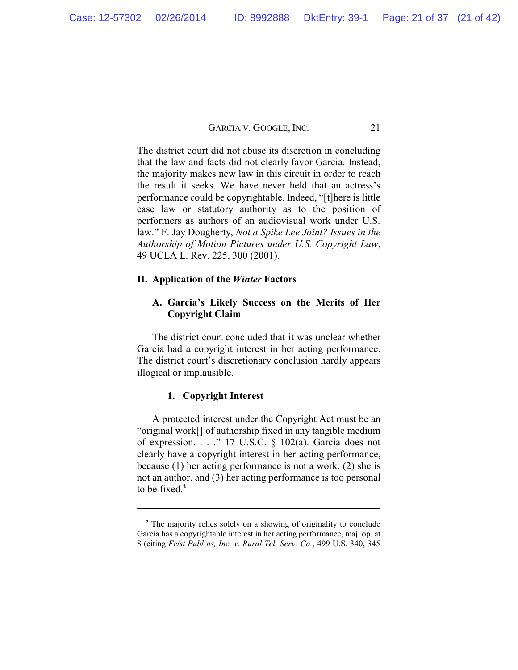The district court did not abuse its discretion in concluding that the law and facts did not clearly favor Garcia. Instead, the majority makes new law in this circuit in order to reach the result it seeks. We have never held that an actress's performance could be copyrightable. Indeed, "[t]here is little case law or statutory authority as to the position of performers as authors of an audiovisual work under U.S. law." F. Jay Dougherty, *Not a Spike Lee Joint? Issues in the Authorship of Motion Pictures under U.S. Copyright Law*, 49 UCLA L. Rev. 225, 300 (2001).

#### **II. Application of the** *Winter* **Factors**

## **A. Garcia's Likely Success on the Merits of Her Copyright Claim**

The district court concluded that it was unclear whether Garcia had a copyright interest in her acting performance. The district court's discretionary conclusion hardly appears illogical or implausible.

## **1. Copyright Interest**

A protected interest under the Copyright Act must be an "original work[] of authorship fixed in any tangible medium of expression. . . ." 17 U.S.C. § 102(a). Garcia does not clearly have a copyright interest in her acting performance, because (1) her acting performance is not a work, (2) she is not an author, and (3) her acting performance is too personal to be fixed.**<sup>2</sup>**

**<sup>2</sup>** The majority relies solely on a showing of originality to conclude Garcia has a copyrightable interest in her acting performance, maj. op. at 8 (citing *Feist Publ'ns, Inc. v. Rural Tel. Serv. Co.*, 499 U.S. 340, 345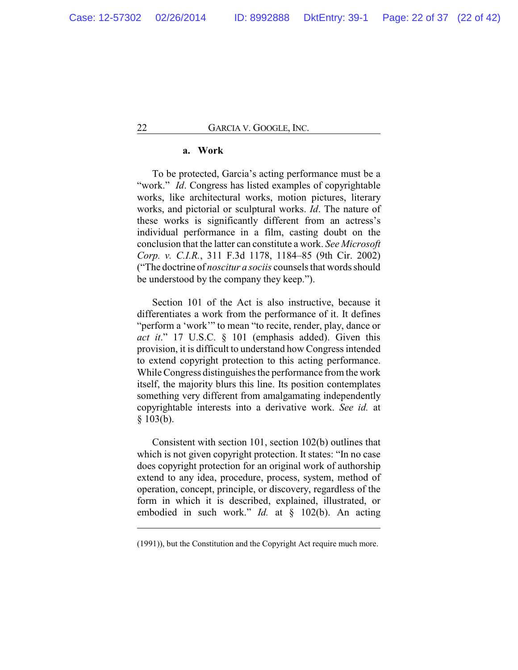### **a. Work**

To be protected, Garcia's acting performance must be a "work." *Id.* Congress has listed examples of copyrightable works, like architectural works, motion pictures, literary works, and pictorial or sculptural works. *Id*. The nature of these works is significantly different from an actress's individual performance in a film, casting doubt on the conclusion that the latter can constitute a work. *See Microsoft Corp. v. C.I.R.*, 311 F.3d 1178, 1184–85 (9th Cir. 2002) ("The doctrine of *noscitur a sociis* counsels that words should be understood by the company they keep.").

Section 101 of the Act is also instructive, because it differentiates a work from the performance of it. It defines "perform a 'work'" to mean "to recite, render, play, dance or *act it*." 17 U.S.C. § 101 (emphasis added). Given this provision, it is difficult to understand how Congress intended to extend copyright protection to this acting performance. While Congress distinguishes the performance from the work itself, the majority blurs this line. Its position contemplates something very different from amalgamating independently copyrightable interests into a derivative work. *See id.* at § 103(b).

Consistent with section 101, section 102(b) outlines that which is not given copyright protection. It states: "In no case does copyright protection for an original work of authorship extend to any idea, procedure, process, system, method of operation, concept, principle, or discovery, regardless of the form in which it is described, explained, illustrated, or embodied in such work." *Id.* at § 102(b). An acting

<sup>(1991)),</sup> but the Constitution and the Copyright Act require much more.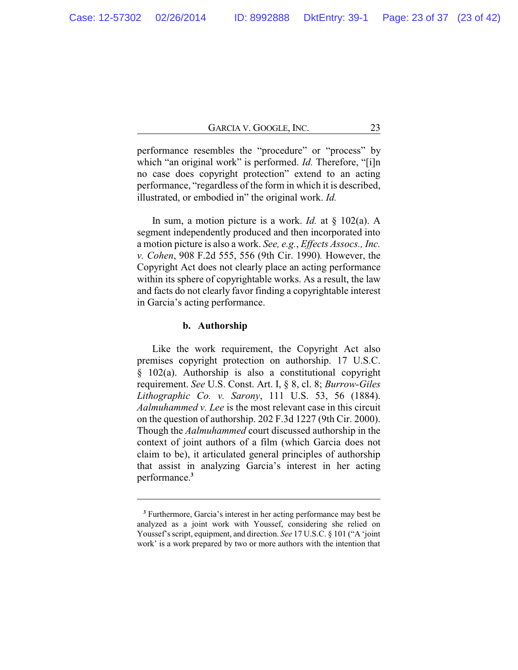performance resembles the "procedure" or "process" by which "an original work" is performed. *Id.* Therefore, "[i]n no case does copyright protection" extend to an acting performance, "regardless of the form in which it is described, illustrated, or embodied in" the original work. *Id.*

In sum, a motion picture is a work. *Id.* at § 102(a). A segment independently produced and then incorporated into a motion picture is also a work. *See, e.g.*, *Effects Assocs., Inc. v. Cohen*, 908 F.2d 555, 556 (9th Cir. 1990)*.* However, the Copyright Act does not clearly place an acting performance within its sphere of copyrightable works. As a result, the law and facts do not clearly favor finding a copyrightable interest in Garcia's acting performance.

#### **b. Authorship**

Like the work requirement, the Copyright Act also premises copyright protection on authorship. 17 U.S.C. § 102(a). Authorship is also a constitutional copyright requirement. *See* U.S. Const. Art. I, § 8, cl. 8; *Burrow-Giles Lithographic Co. v. Sarony*, 111 U.S. 53, 56 (1884). *Aalmuhammed v. Lee* is the most relevant case in this circuit on the question of authorship. 202 F.3d 1227 (9th Cir. 2000). Though the *Aalmuhammed* court discussed authorship in the context of joint authors of a film (which Garcia does not claim to be), it articulated general principles of authorship that assist in analyzing Garcia's interest in her acting performance.**<sup>3</sup>**

**<sup>3</sup>** Furthermore, Garcia's interest in her acting performance may best be analyzed as a joint work with Youssef, considering she relied on Youssef's script, equipment, and direction. *See* 17 U.S.C. § 101 ("A 'joint work' is a work prepared by two or more authors with the intention that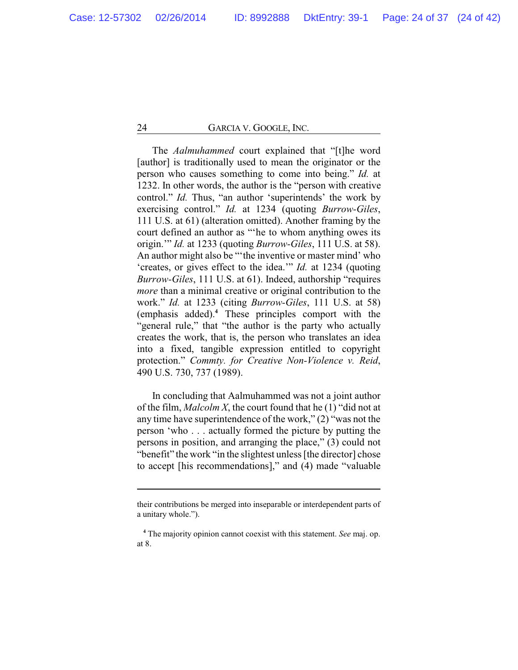The *Aalmuhammed* court explained that "[t]he word [author] is traditionally used to mean the originator or the person who causes something to come into being." *Id.* at 1232. In other words, the author is the "person with creative control." *Id.* Thus, "an author 'superintends' the work by exercising control." *Id.* at 1234 (quoting *Burrow-Giles*, 111 U.S. at 61) (alteration omitted). Another framing by the court defined an author as "'he to whom anything owes its origin.'" *Id.* at 1233 (quoting *Burrow-Giles*, 111 U.S. at 58). An author might also be "'the inventive or master mind' who 'creates, or gives effect to the idea.'" *Id.* at 1234 (quoting *Burrow-Giles*, 111 U.S. at 61). Indeed, authorship "requires *more* than a minimal creative or original contribution to the work." *Id.* at 1233 (citing *Burrow-Giles*, 111 U.S. at 58) (emphasis added).**<sup>4</sup>** These principles comport with the "general rule," that "the author is the party who actually creates the work, that is, the person who translates an idea into a fixed, tangible expression entitled to copyright protection." *Commty. for Creative Non-Violence v. Reid*, 490 U.S. 730, 737 (1989).

In concluding that Aalmuhammed was not a joint author of the film, *Malcolm X*, the court found that he (1) "did not at any time have superintendence of the work," (2) "was not the person 'who . . . actually formed the picture by putting the persons in position, and arranging the place," (3) could not "benefit" the work "in the slightest unless [the director] chose to accept [his recommendations]," and (4) made "valuable

their contributions be merged into inseparable or interdependent parts of a unitary whole.").

**<sup>4</sup>** The majority opinion cannot coexist with this statement. *See* maj. op. at 8.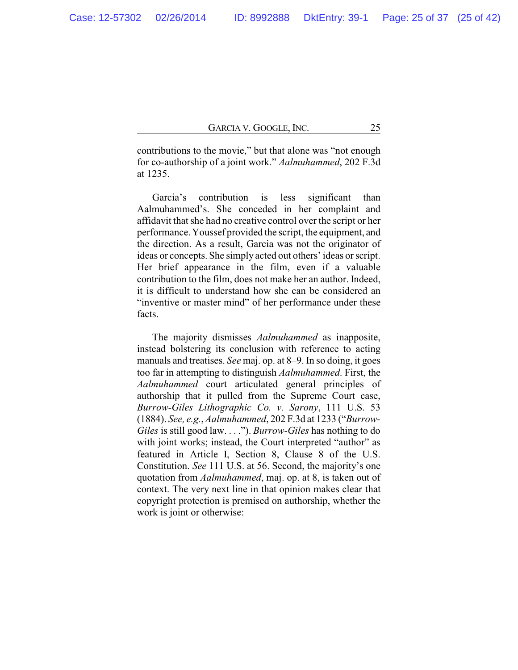contributions to the movie," but that alone was "not enough for co-authorship of a joint work." *Aalmuhammed*, 202 F.3d at 1235.

Garcia's contribution is less significant than Aalmuhammed's. She conceded in her complaint and affidavit that she had no creative control over the script or her performance. Youssef provided the script, the equipment, and the direction. As a result, Garcia was not the originator of ideas or concepts. She simply acted out others' ideas or script. Her brief appearance in the film, even if a valuable contribution to the film, does not make her an author. Indeed, it is difficult to understand how she can be considered an "inventive or master mind" of her performance under these facts.

The majority dismisses *Aalmuhammed* as inapposite, instead bolstering its conclusion with reference to acting manuals and treatises. *See* maj. op. at 8–9. In so doing, it goes too far in attempting to distinguish *Aalmuhammed*. First, the *Aalmuhammed* court articulated general principles of authorship that it pulled from the Supreme Court case, *Burrow-Giles Lithographic Co. v. Sarony*, 111 U.S. 53 (1884). *See, e.g.*, *Aalmuhammed*, 202 F.3d at 1233 ("*Burrow-Giles* is still good law. . . ."). *Burrow-Giles* has nothing to do with joint works; instead, the Court interpreted "author" as featured in Article I, Section 8, Clause 8 of the U.S. Constitution. *See* 111 U.S. at 56. Second, the majority's one quotation from *Aalmuhammed*, maj. op. at 8, is taken out of context. The very next line in that opinion makes clear that copyright protection is premised on authorship, whether the work is joint or otherwise: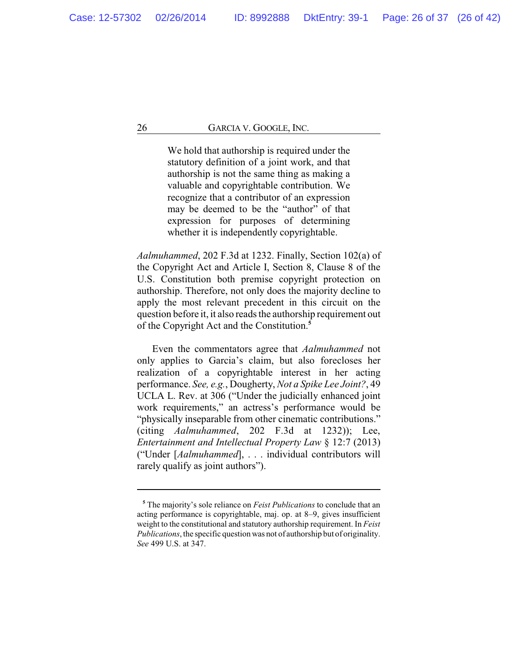We hold that authorship is required under the statutory definition of a joint work, and that authorship is not the same thing as making a valuable and copyrightable contribution. We recognize that a contributor of an expression may be deemed to be the "author" of that expression for purposes of determining whether it is independently copyrightable.

*Aalmuhammed*, 202 F.3d at 1232. Finally, Section 102(a) of the Copyright Act and Article I, Section 8, Clause 8 of the U.S. Constitution both premise copyright protection on authorship. Therefore, not only does the majority decline to apply the most relevant precedent in this circuit on the question before it, it also reads the authorship requirement out of the Copyright Act and the Constitution.**<sup>5</sup>**

Even the commentators agree that *Aalmuhammed* not only applies to Garcia's claim, but also forecloses her realization of a copyrightable interest in her acting performance. *See, e.g.*, Dougherty, *Not a Spike Lee Joint?*, 49 UCLA L. Rev. at 306 ("Under the judicially enhanced joint work requirements," an actress's performance would be "physically inseparable from other cinematic contributions." (citing *Aalmuhammed*, 202 F.3d at 1232)); Lee, *Entertainment and Intellectual Property Law* § 12:7 (2013) ("Under [*Aalmuhammed*], . . . individual contributors will rarely qualify as joint authors").

**<sup>5</sup>** The majority's sole reliance on *Feist Publications* to conclude that an acting performance is copyrightable, maj. op. at 8–9, gives insufficient weight to the constitutional and statutory authorship requirement. In *Feist Publications*, the specific question was not of authorship but of originality. *See* 499 U.S. at 347.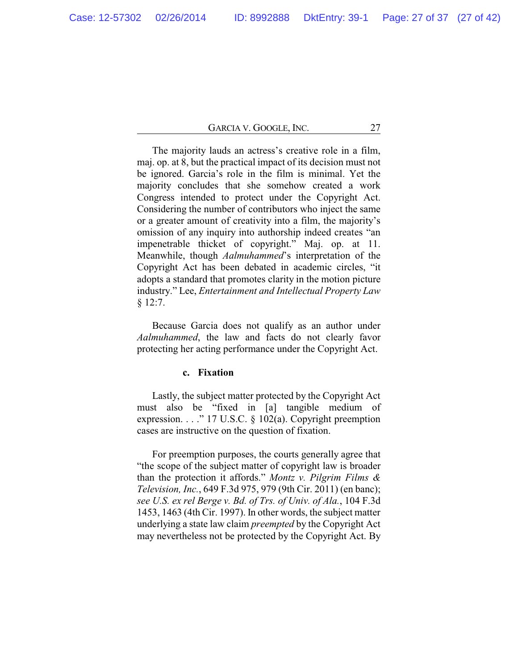The majority lauds an actress's creative role in a film, maj. op. at 8, but the practical impact of its decision must not be ignored. Garcia's role in the film is minimal. Yet the majority concludes that she somehow created a work Congress intended to protect under the Copyright Act. Considering the number of contributors who inject the same or a greater amount of creativity into a film, the majority's omission of any inquiry into authorship indeed creates "an impenetrable thicket of copyright." Maj. op. at 11. Meanwhile, though *Aalmuhammed*'s interpretation of the Copyright Act has been debated in academic circles, "it adopts a standard that promotes clarity in the motion picture industry." Lee, *Entertainment and Intellectual Property Law* § 12:7.

Because Garcia does not qualify as an author under *Aalmuhammed*, the law and facts do not clearly favor protecting her acting performance under the Copyright Act.

## **c. Fixation**

Lastly, the subject matter protected by the Copyright Act must also be "fixed in [a] tangible medium of expression. . . . " 17 U.S.C.  $\S$  102(a). Copyright preemption cases are instructive on the question of fixation.

For preemption purposes, the courts generally agree that "the scope of the subject matter of copyright law is broader than the protection it affords." *Montz v. Pilgrim Films & Television, Inc.*, 649 F.3d 975, 979 (9th Cir. 2011) (en banc); *see U.S. ex rel Berge v. Bd. of Trs. of Univ. of Ala.*, 104 F.3d 1453, 1463 (4th Cir. 1997). In other words, the subject matter underlying a state law claim *preempted* by the Copyright Act may nevertheless not be protected by the Copyright Act. By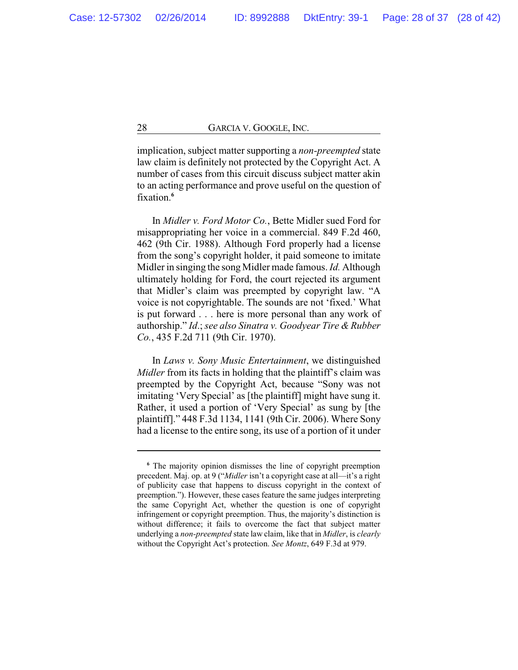implication, subject matter supporting a *non-preempted* state law claim is definitely not protected by the Copyright Act. A number of cases from this circuit discuss subject matter akin to an acting performance and prove useful on the question of fixation.**<sup>6</sup>**

In *Midler v. Ford Motor Co.*, Bette Midler sued Ford for misappropriating her voice in a commercial. 849 F.2d 460, 462 (9th Cir. 1988). Although Ford properly had a license from the song's copyright holder, it paid someone to imitate Midler in singing the song Midler made famous. *Id.* Although ultimately holding for Ford, the court rejected its argument that Midler's claim was preempted by copyright law. "A voice is not copyrightable. The sounds are not 'fixed.' What is put forward . . . here is more personal than any work of authorship." *Id*.; *see also Sinatra v. Goodyear Tire & Rubber Co.*, 435 F.2d 711 (9th Cir. 1970).

In *Laws v. Sony Music Entertainment*, we distinguished *Midler* from its facts in holding that the plaintiff's claim was preempted by the Copyright Act, because "Sony was not imitating 'Very Special' as [the plaintiff] might have sung it. Rather, it used a portion of 'Very Special' as sung by [the plaintiff]." 448 F.3d 1134, 1141 (9th Cir. 2006). Where Sony had a license to the entire song, its use of a portion of it under

**<sup>6</sup>** The majority opinion dismisses the line of copyright preemption precedent. Maj. op. at 9 ("*Midler* isn't a copyright case at all—it's a right of publicity case that happens to discuss copyright in the context of preemption."). However, these cases feature the same judges interpreting the same Copyright Act, whether the question is one of copyright infringement or copyright preemption. Thus, the majority's distinction is without difference; it fails to overcome the fact that subject matter underlying a *non-preempted* state law claim, like that in *Midler*, is *clearly* without the Copyright Act's protection. *See Montz*, 649 F.3d at 979.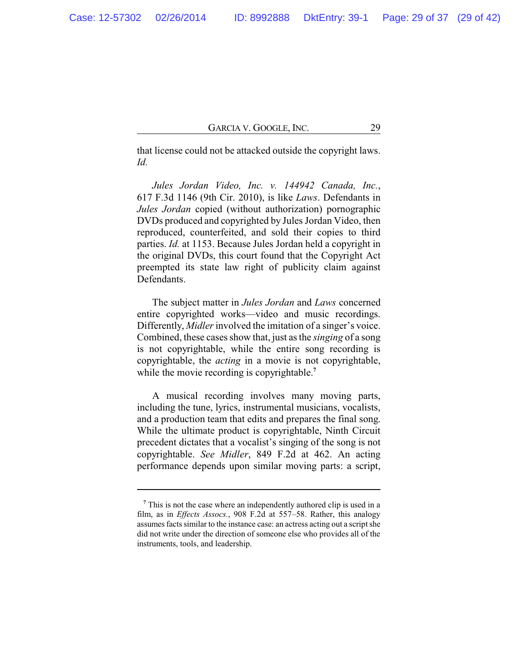that license could not be attacked outside the copyright laws. *Id.*

*Jules Jordan Video, Inc. v. 144942 Canada, Inc.*, 617 F.3d 1146 (9th Cir. 2010), is like *Laws*. Defendants in *Jules Jordan* copied (without authorization) pornographic DVDs produced and copyrighted by Jules Jordan Video, then reproduced, counterfeited, and sold their copies to third parties. *Id.* at 1153. Because Jules Jordan held a copyright in the original DVDs, this court found that the Copyright Act preempted its state law right of publicity claim against Defendants.

The subject matter in *Jules Jordan* and *Laws* concerned entire copyrighted works—video and music recordings. Differently, *Midler* involved the imitation of a singer's voice. Combined, these cases show that, just as the *singing* of a song is not copyrightable, while the entire song recording is copyrightable, the *acting* in a movie is not copyrightable, while the movie recording is copyrightable.<sup>7</sup>

A musical recording involves many moving parts, including the tune, lyrics, instrumental musicians, vocalists, and a production team that edits and prepares the final song. While the ultimate product is copyrightable, Ninth Circuit precedent dictates that a vocalist's singing of the song is not copyrightable. *See Midler*, 849 F.2d at 462. An acting performance depends upon similar moving parts: a script,

<sup>&</sup>lt;sup>7</sup> This is not the case where an independently authored clip is used in a film, as in *Effects Assocs.*, 908 F.2d at 557–58. Rather, this analogy assumes facts similar to the instance case: an actress acting out a script she did not write under the direction of someone else who provides all of the instruments, tools, and leadership.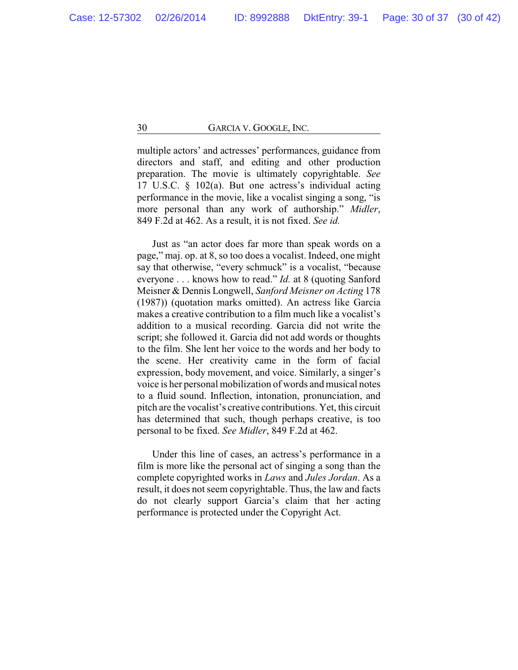multiple actors' and actresses' performances, guidance from directors and staff, and editing and other production preparation. The movie is ultimately copyrightable. *See* 17 U.S.C. § 102(a). But one actress's individual acting performance in the movie, like a vocalist singing a song, "is more personal than any work of authorship." *Midler*, 849 F.2d at 462. As a result, it is not fixed. *See id.*

Just as "an actor does far more than speak words on a page," maj. op. at 8, so too does a vocalist. Indeed, one might say that otherwise, "every schmuck" is a vocalist, "because everyone . . . knows how to read." *Id.* at 8 (quoting Sanford Meisner & Dennis Longwell, *Sanford Meisner on Acting* 178 (1987)) (quotation marks omitted). An actress like Garcia makes a creative contribution to a film much like a vocalist's addition to a musical recording. Garcia did not write the script; she followed it. Garcia did not add words or thoughts to the film. She lent her voice to the words and her body to the scene. Her creativity came in the form of facial expression, body movement, and voice. Similarly, a singer's voice is her personal mobilization of words and musical notes to a fluid sound. Inflection, intonation, pronunciation, and pitch are the vocalist's creative contributions. Yet, this circuit has determined that such, though perhaps creative, is too personal to be fixed. *See Midler*, 849 F.2d at 462.

Under this line of cases, an actress's performance in a film is more like the personal act of singing a song than the complete copyrighted works in *Laws* and *Jules Jordan*. As a result, it does not seem copyrightable. Thus, the law and facts do not clearly support Garcia's claim that her acting performance is protected under the Copyright Act.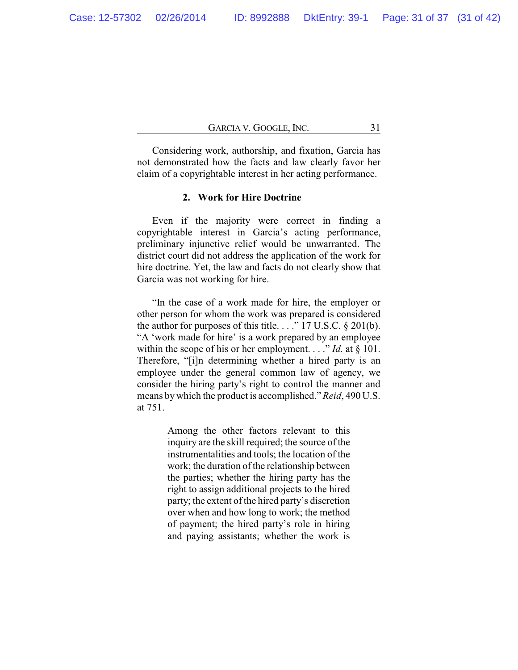Considering work, authorship, and fixation, Garcia has not demonstrated how the facts and law clearly favor her claim of a copyrightable interest in her acting performance.

### **2. Work for Hire Doctrine**

Even if the majority were correct in finding a copyrightable interest in Garcia's acting performance, preliminary injunctive relief would be unwarranted. The district court did not address the application of the work for hire doctrine. Yet, the law and facts do not clearly show that Garcia was not working for hire.

"In the case of a work made for hire, the employer or other person for whom the work was prepared is considered the author for purposes of this title. . . ." 17 U.S.C. § 201(b). "A 'work made for hire' is a work prepared by an employee within the scope of his or her employment. . . ." *Id.* at § 101. Therefore, "[i]n determining whether a hired party is an employee under the general common law of agency, we consider the hiring party's right to control the manner and means by which the product is accomplished." *Reid*, 490 U.S. at 751.

> Among the other factors relevant to this inquiry are the skill required; the source of the instrumentalities and tools; the location of the work; the duration of the relationship between the parties; whether the hiring party has the right to assign additional projects to the hired party; the extent of the hired party's discretion over when and how long to work; the method of payment; the hired party's role in hiring and paying assistants; whether the work is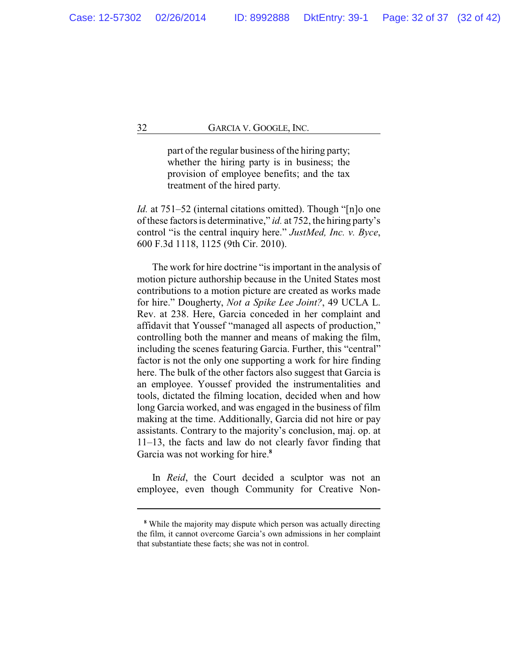part of the regular business of the hiring party; whether the hiring party is in business; the provision of employee benefits; and the tax treatment of the hired party.

*Id.* at 751–52 (internal citations omitted). Though "[n]o one of these factors is determinative," *id.* at 752, the hiring party's control "is the central inquiry here." *JustMed, Inc. v. Byce*, 600 F.3d 1118, 1125 (9th Cir. 2010).

The work for hire doctrine "is important in the analysis of motion picture authorship because in the United States most contributions to a motion picture are created as works made for hire." Dougherty, *Not a Spike Lee Joint?*, 49 UCLA L. Rev. at 238. Here, Garcia conceded in her complaint and affidavit that Youssef "managed all aspects of production," controlling both the manner and means of making the film, including the scenes featuring Garcia. Further, this "central" factor is not the only one supporting a work for hire finding here. The bulk of the other factors also suggest that Garcia is an employee. Youssef provided the instrumentalities and tools, dictated the filming location, decided when and how long Garcia worked, and was engaged in the business of film making at the time. Additionally, Garcia did not hire or pay assistants. Contrary to the majority's conclusion, maj. op. at 11–13, the facts and law do not clearly favor finding that Garcia was not working for hire.**<sup>8</sup>**

In *Reid*, the Court decided a sculptor was not an employee, even though Community for Creative Non-

**<sup>8</sup>** While the majority may dispute which person was actually directing the film, it cannot overcome Garcia's own admissions in her complaint that substantiate these facts; she was not in control.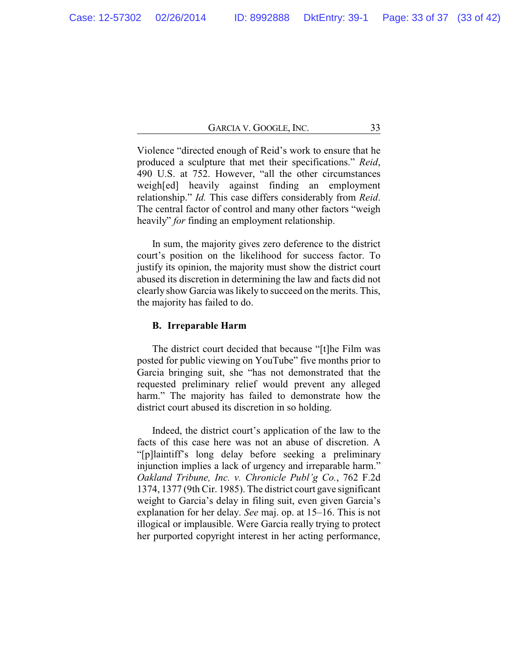Violence "directed enough of Reid's work to ensure that he produced a sculpture that met their specifications." *Reid*, 490 U.S. at 752. However, "all the other circumstances weigh[ed] heavily against finding an employment relationship." *Id.* This case differs considerably from *Reid*. The central factor of control and many other factors "weigh heavily" *for* finding an employment relationship.

In sum, the majority gives zero deference to the district court's position on the likelihood for success factor. To justify its opinion, the majority must show the district court abused its discretion in determining the law and facts did not clearly show Garcia was likely to succeed on the merits. This, the majority has failed to do.

#### **B. Irreparable Harm**

The district court decided that because "[t]he Film was posted for public viewing on YouTube" five months prior to Garcia bringing suit, she "has not demonstrated that the requested preliminary relief would prevent any alleged harm." The majority has failed to demonstrate how the district court abused its discretion in so holding.

Indeed, the district court's application of the law to the facts of this case here was not an abuse of discretion. A "[p]laintiff's long delay before seeking a preliminary injunction implies a lack of urgency and irreparable harm." *Oakland Tribune, Inc. v. Chronicle Publ'g Co.*, 762 F.2d 1374, 1377 (9th Cir. 1985). The district court gave significant weight to Garcia's delay in filing suit, even given Garcia's explanation for her delay. *See* maj. op. at 15–16. This is not illogical or implausible. Were Garcia really trying to protect her purported copyright interest in her acting performance,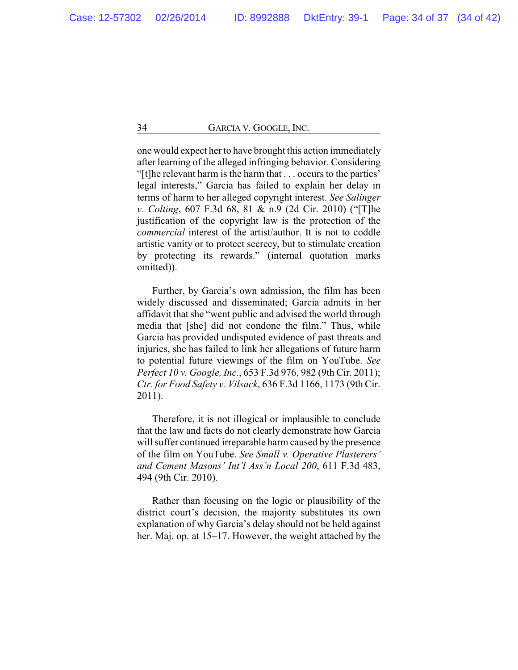one would expect her to have brought this action immediately after learning of the alleged infringing behavior. Considering "[t]he relevant harm is the harm that . . . occurs to the parties' legal interests," Garcia has failed to explain her delay in terms of harm to her alleged copyright interest. *See Salinger v. Colting*, 607 F.3d 68, 81 & n.9 (2d Cir. 2010) ("[T]he justification of the copyright law is the protection of the *commercial* interest of the artist/author. It is not to coddle artistic vanity or to protect secrecy, but to stimulate creation by protecting its rewards." (internal quotation marks omitted)).

Further, by Garcia's own admission, the film has been widely discussed and disseminated; Garcia admits in her affidavit that she "went public and advised the world through media that [she] did not condone the film." Thus, while Garcia has provided undisputed evidence of past threats and injuries, she has failed to link her allegations of future harm to potential future viewings of the film on YouTube. *See Perfect 10 v. Google, Inc.*, 653 F.3d 976, 982 (9th Cir. 2011); *Ctr. for Food Safety v. Vilsack*, 636 F.3d 1166, 1173 (9th Cir. 2011).

Therefore, it is not illogical or implausible to conclude that the law and facts do not clearly demonstrate how Garcia will suffer continued irreparable harm caused by the presence of the film on YouTube. *See Small v. Operative Plasterers' and Cement Masons' Int'l Ass'n Local 200*, 611 F.3d 483, 494 (9th Cir. 2010).

Rather than focusing on the logic or plausibility of the district court's decision, the majority substitutes its own explanation of why Garcia's delay should not be held against her. Maj. op. at 15–17. However, the weight attached by the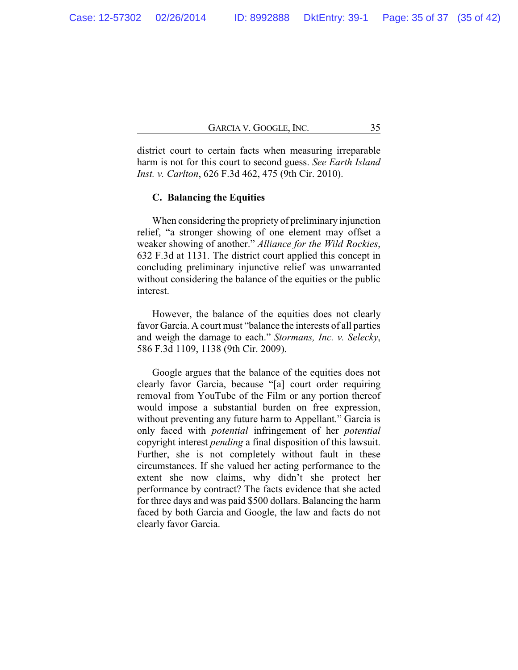district court to certain facts when measuring irreparable harm is not for this court to second guess. *See Earth Island Inst. v. Carlton*, 626 F.3d 462, 475 (9th Cir. 2010).

### **C. Balancing the Equities**

When considering the propriety of preliminary injunction relief, "a stronger showing of one element may offset a weaker showing of another." *Alliance for the Wild Rockies*, 632 F.3d at 1131. The district court applied this concept in concluding preliminary injunctive relief was unwarranted without considering the balance of the equities or the public interest.

However, the balance of the equities does not clearly favor Garcia. A court must "balance the interests of all parties and weigh the damage to each." *Stormans, Inc. v. Selecky*, 586 F.3d 1109, 1138 (9th Cir. 2009).

Google argues that the balance of the equities does not clearly favor Garcia, because "[a] court order requiring removal from YouTube of the Film or any portion thereof would impose a substantial burden on free expression, without preventing any future harm to Appellant." Garcia is only faced with *potential* infringement of her *potential* copyright interest *pending* a final disposition of this lawsuit. Further, she is not completely without fault in these circumstances. If she valued her acting performance to the extent she now claims, why didn't she protect her performance by contract? The facts evidence that she acted for three days and was paid \$500 dollars. Balancing the harm faced by both Garcia and Google, the law and facts do not clearly favor Garcia.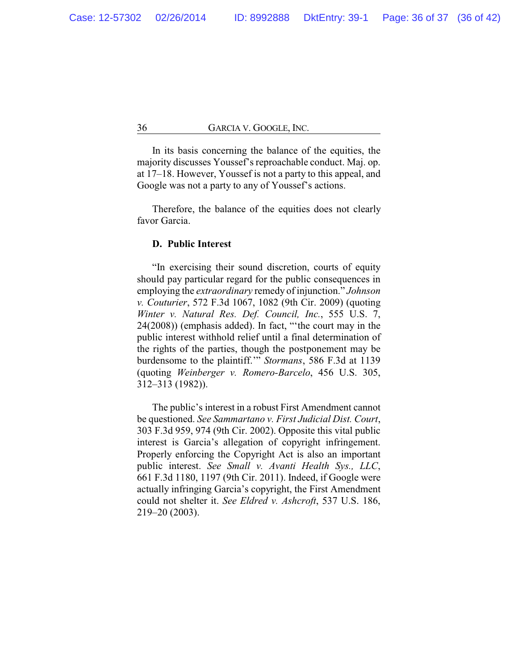In its basis concerning the balance of the equities, the majority discusses Youssef's reproachable conduct. Maj. op. at 17–18. However, Youssef is not a party to this appeal, and Google was not a party to any of Youssef's actions.

Therefore, the balance of the equities does not clearly favor Garcia.

### **D. Public Interest**

"In exercising their sound discretion, courts of equity should pay particular regard for the public consequences in employing the *extraordinary* remedy of injunction." *Johnson v. Couturier*, 572 F.3d 1067, 1082 (9th Cir. 2009) (quoting *Winter v. Natural Res. Def. Council, Inc.*, 555 U.S. 7, 24(2008)) (emphasis added). In fact, "'the court may in the public interest withhold relief until a final determination of the rights of the parties, though the postponement may be burdensome to the plaintiff.'" *Stormans*, 586 F.3d at 1139 (quoting *Weinberger v. Romero-Barcelo*, 456 U.S. 305, 312–313 (1982)).

The public's interest in a robust First Amendment cannot be questioned. *See Sammartano v. First Judicial Dist. Court*, 303 F.3d 959, 974 (9th Cir. 2002). Opposite this vital public interest is Garcia's allegation of copyright infringement. Properly enforcing the Copyright Act is also an important public interest. *See Small v. Avanti Health Sys., LLC*, 661 F.3d 1180, 1197 (9th Cir. 2011). Indeed, if Google were actually infringing Garcia's copyright, the First Amendment could not shelter it. *See Eldred v. Ashcroft*, 537 U.S. 186, 219–20 (2003).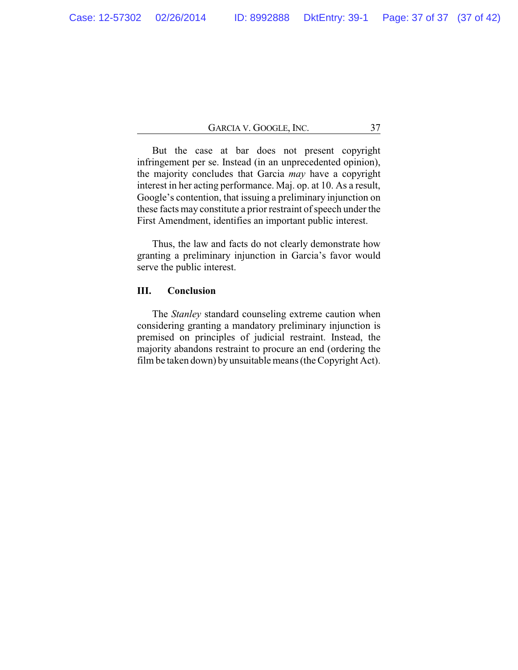But the case at bar does not present copyright infringement per se. Instead (in an unprecedented opinion), the majority concludes that Garcia *may* have a copyright interest in her acting performance. Maj. op. at 10. As a result, Google's contention, that issuing a preliminary injunction on these facts may constitute a prior restraint of speech under the First Amendment, identifies an important public interest.

Thus, the law and facts do not clearly demonstrate how granting a preliminary injunction in Garcia's favor would serve the public interest.

## **III. Conclusion**

The *Stanley* standard counseling extreme caution when considering granting a mandatory preliminary injunction is premised on principles of judicial restraint. Instead, the majority abandons restraint to procure an end (ordering the film be taken down) byunsuitable means (the Copyright Act).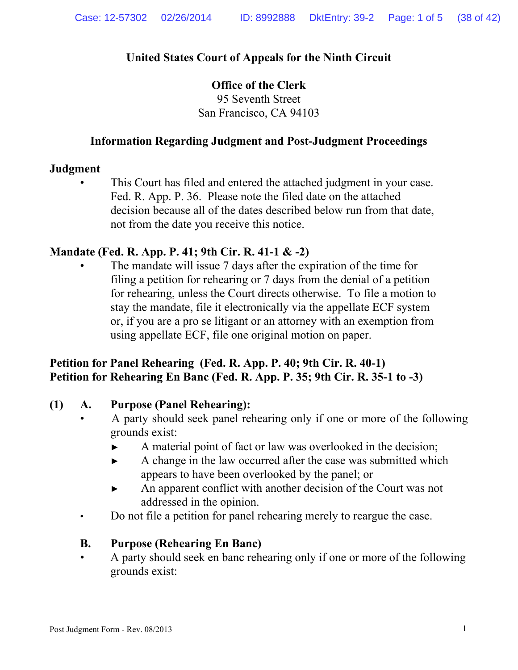# **United States Court of Appeals for the Ninth Circuit**

## **Office of the Clerk**  95 Seventh Street San Francisco, CA 94103

## **Information Regarding Judgment and Post-Judgment Proceedings**

## **Judgment**

This Court has filed and entered the attached judgment in your case. Fed. R. App. P. 36. Please note the filed date on the attached decision because all of the dates described below run from that date, not from the date you receive this notice.

## **Mandate (Fed. R. App. P. 41; 9th Cir. R. 41-1 & -2)**

The mandate will issue 7 days after the expiration of the time for filing a petition for rehearing or 7 days from the denial of a petition for rehearing, unless the Court directs otherwise. To file a motion to stay the mandate, file it electronically via the appellate ECF system or, if you are a pro se litigant or an attorney with an exemption from using appellate ECF, file one original motion on paper.

# **Petition for Panel Rehearing (Fed. R. App. P. 40; 9th Cir. R. 40-1) Petition for Rehearing En Banc (Fed. R. App. P. 35; 9th Cir. R. 35-1 to -3)**

## **(1) A. Purpose (Panel Rehearing):**

- A party should seek panel rehearing only if one or more of the following grounds exist:
	- ► A material point of fact or law was overlooked in the decision;
	- ► A change in the law occurred after the case was submitted which appears to have been overlooked by the panel; or
	- ► An apparent conflict with another decision of the Court was not addressed in the opinion.
- Do not file a petition for panel rehearing merely to reargue the case.

# **B. Purpose (Rehearing En Banc)**

 • A party should seek en banc rehearing only if one or more of the following grounds exist: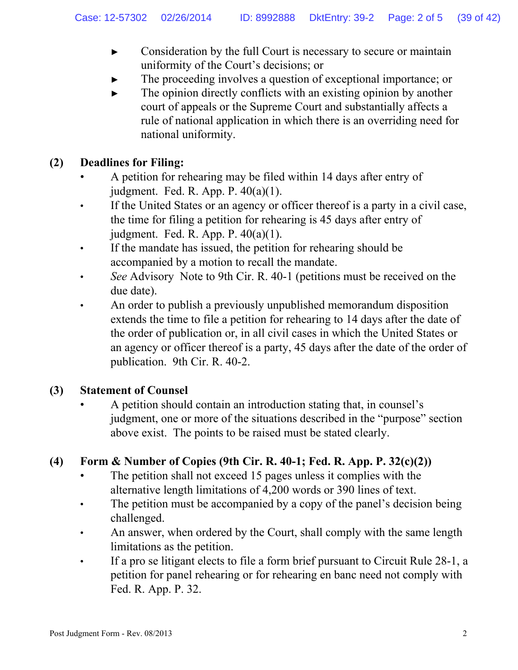- ► Consideration by the full Court is necessary to secure or maintain uniformity of the Court's decisions; or
- The proceeding involves a question of exceptional importance; or
- $\blacktriangleright$  The opinion directly conflicts with an existing opinion by another court of appeals or the Supreme Court and substantially affects a rule of national application in which there is an overriding need for national uniformity.

# **(2) Deadlines for Filing:**

- A petition for rehearing may be filed within 14 days after entry of judgment. Fed. R. App. P.  $40(a)(1)$ .
- If the United States or an agency or officer thereof is a party in a civil case, the time for filing a petition for rehearing is 45 days after entry of judgment. Fed. R. App. P. 40(a)(1).
- If the mandate has issued, the petition for rehearing should be accompanied by a motion to recall the mandate.
- *See* Advisory Note to 9th Cir. R. 40-1 (petitions must be received on the due date).
- An order to publish a previously unpublished memorandum disposition extends the time to file a petition for rehearing to 14 days after the date of the order of publication or, in all civil cases in which the United States or an agency or officer thereof is a party, 45 days after the date of the order of publication. 9th Cir. R. 40-2.

# **(3) Statement of Counsel**

 • A petition should contain an introduction stating that, in counsel's judgment, one or more of the situations described in the "purpose" section above exist. The points to be raised must be stated clearly.

# **(4) Form & Number of Copies (9th Cir. R. 40-1; Fed. R. App. P. 32(c)(2))**

- The petition shall not exceed 15 pages unless it complies with the alternative length limitations of 4,200 words or 390 lines of text.
- The petition must be accompanied by a copy of the panel's decision being challenged.
- An answer, when ordered by the Court, shall comply with the same length limitations as the petition.
- If a pro se litigant elects to file a form brief pursuant to Circuit Rule 28-1, a petition for panel rehearing or for rehearing en banc need not comply with Fed. R. App. P. 32.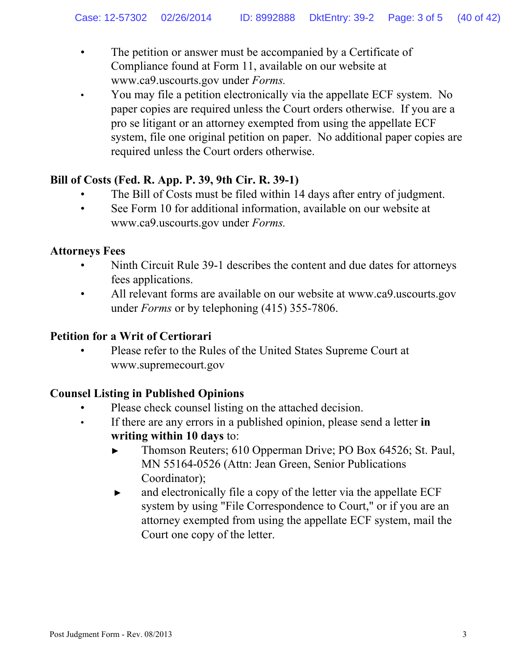- The petition or answer must be accompanied by a Certificate of Compliance found at Form 11, available on our website at www.ca9.uscourts.gov under *Forms.*
- You may file a petition electronically via the appellate ECF system. No paper copies are required unless the Court orders otherwise. If you are a pro se litigant or an attorney exempted from using the appellate ECF system, file one original petition on paper. No additional paper copies are required unless the Court orders otherwise.

# **Bill of Costs (Fed. R. App. P. 39, 9th Cir. R. 39-1)**

- The Bill of Costs must be filed within 14 days after entry of judgment.
- See Form 10 for additional information, available on our website at www.ca9.uscourts.gov under *Forms.*

## **Attorneys Fees**

- Ninth Circuit Rule 39-1 describes the content and due dates for attorneys fees applications.
- All relevant forms are available on our website at www.ca9.uscourts.gov under *Forms* or by telephoning (415) 355-7806.

## **Petition for a Writ of Certiorari**

 • Please refer to the Rules of the United States Supreme Court at www.supremecourt.gov

# **Counsel Listing in Published Opinions**

- Please check counsel listing on the attached decision.
- If there are any errors in a published opinion, please send a letter **in writing within 10 days** to:
	- ► Thomson Reuters; 610 Opperman Drive; PO Box 64526; St. Paul, MN 55164-0526 (Attn: Jean Green, Senior Publications Coordinator);
	- ► and electronically file a copy of the letter via the appellate ECF system by using "File Correspondence to Court," or if you are an attorney exempted from using the appellate ECF system, mail the Court one copy of the letter.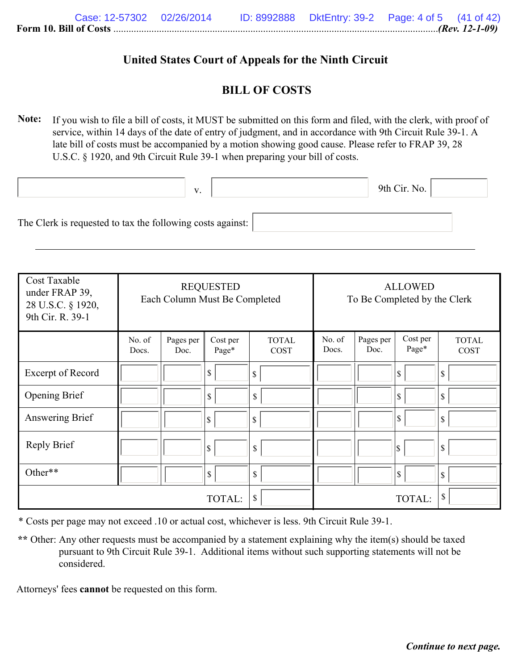## **United States Court of Appeals for the Ninth Circuit**

## **BILL OF COSTS**

**Note:** If you wish to file a bill of costs, it MUST be submitted on this form and filed, with the clerk, with proof of service, within 14 days of the date of entry of judgment, and in accordance with 9th Circuit Rule 39-1. A late bill of costs must be accompanied by a motion showing good cause. Please refer to FRAP 39, 28 U.S.C. § 1920, and 9th Circuit Rule 39-1 when preparing your bill of costs.

|                                                            | V. |  | 9th Cir. No. |  |
|------------------------------------------------------------|----|--|--------------|--|
| The Clerk is requested to tax the following costs against: |    |  |              |  |

| Cost Taxable<br>under FRAP 39,<br>28 U.S.C. § 1920,<br>9th Cir. R. 39-1 | <b>REQUESTED</b><br>Each Column Must Be Completed |                   |                   | <b>ALLOWED</b><br>To Be Completed by the Clerk |                 |                   |                   |                      |
|-------------------------------------------------------------------------|---------------------------------------------------|-------------------|-------------------|------------------------------------------------|-----------------|-------------------|-------------------|----------------------|
|                                                                         | No. of<br>Docs.                                   | Pages per<br>Doc. | Cost per<br>Page* | <b>TOTAL</b><br>COST                           | No. of<br>Docs. | Pages per<br>Doc. | Cost per<br>Page* | <b>TOTAL</b><br>COST |
| Excerpt of Record                                                       |                                                   |                   | \$                | \$                                             |                 |                   | \$                | \$                   |
| <b>Opening Brief</b>                                                    |                                                   |                   | \$                | \$                                             |                 |                   | S,                | \$                   |
| Answering Brief                                                         |                                                   |                   | \$                | $\mathbf S$                                    |                 |                   | 8                 | \$                   |
| <b>Reply Brief</b>                                                      |                                                   |                   | \$                | \$                                             |                 |                   | \$                | \$                   |
| Other**                                                                 |                                                   |                   | $\mathbb{S}$      | \$                                             |                 |                   | $\sqrt{5}$        | \$                   |
|                                                                         |                                                   |                   | TOTAL:            | \$                                             |                 |                   | TOTAL:            | \$                   |

\* Costs per page may not exceed .10 or actual cost, whichever is less. 9th Circuit Rule 39-1.

\*\* Other: Any other requests must be accompanied by a statement explaining why the item(s) should be taxed pursuant to 9th Circuit Rule 39-1. Additional items without such supporting statements will not be considered.

Attorneys' fees **cannot** be requested on this form.